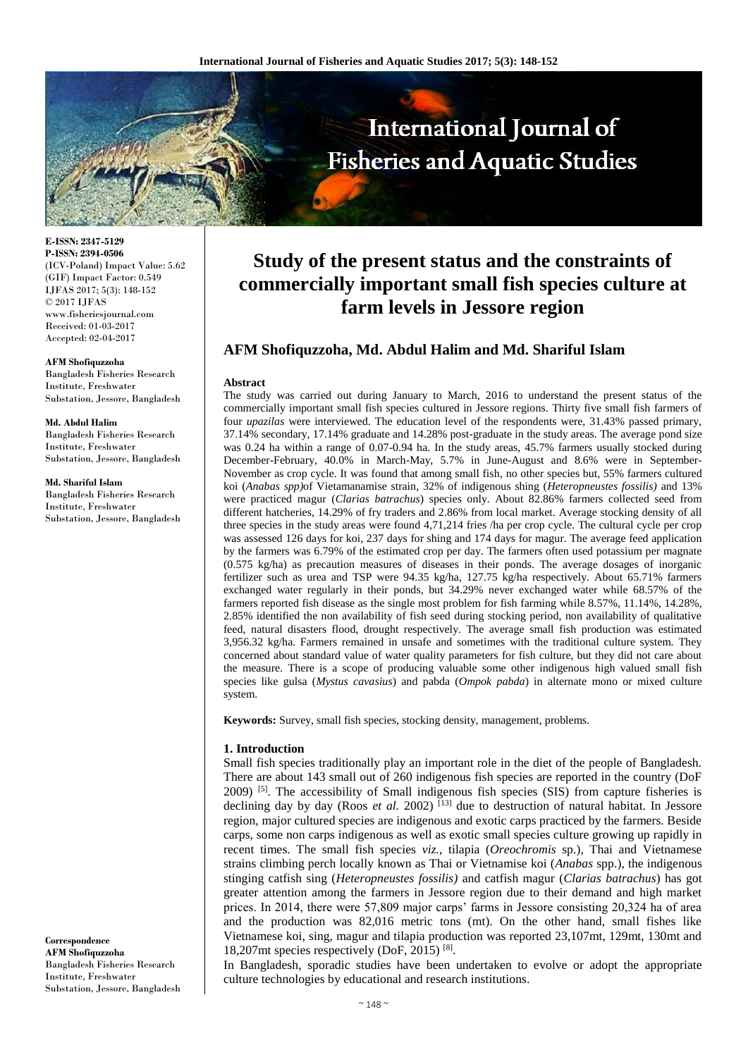

**E-ISSN: 2347-5129 P-ISSN: 2394-0506** (ICV-Poland) Impact Value: 5.62 (GIF) Impact Factor: 0.549 IJFAS 2017; 5(3): 148-152 © 2017 IJFAS www.fisheriesjournal.com Received: 01-03-2017 Accepted: 02-04-2017

#### **AFM Shofiquzzoha**

Bangladesh Fisheries Research Institute, Freshwater Substation, Jessore, Bangladesh

**Md. Abdul Halim** Bangladesh Fisheries Research Institute, Freshwater Substation, Jessore, Bangladesh

**Md. Shariful Islam**

Bangladesh Fisheries Research Institute, Freshwater Substation, Jessore, Bangladesh

**Correspondence AFM Shofiquzzoha** Bangladesh Fisheries Research Institute, Freshwater Substation, Jessore, Bangladesh

# **Study of the present status and the constraints of commercially important small fish species culture at farm levels in Jessore region**

# **AFM Shofiquzzoha, Md. Abdul Halim and Md. Shariful Islam**

## **Abstract**

The study was carried out during January to March, 2016 to understand the present status of the commercially important small fish species cultured in Jessore regions. Thirty five small fish farmers of four *upazilas* were interviewed. The education level of the respondents were, 31.43% passed primary, 37.14% secondary, 17.14% graduate and 14.28% post-graduate in the study areas. The average pond size was 0.24 ha within a range of 0.07-0.94 ha. In the study areas, 45.7% farmers usually stocked during December-February, 40.0% in March-May, 5.7% in June-August and 8.6% were in September-November as crop cycle. It was found that among small fish, no other species but, 55% farmers cultured koi (*Anabas spp)*of Vietamanamise strain, 32% of indigenous shing (*Heteropneustes fossilis)* and 13% were practiced magur (*Clarias batrachus*) species only. About 82.86% farmers collected seed from different hatcheries, 14.29% of fry traders and 2.86% from local market. Average stocking density of all three species in the study areas were found 4,71,214 fries /ha per crop cycle. The cultural cycle per crop was assessed 126 days for koi, 237 days for shing and 174 days for magur. The average feed application by the farmers was 6.79% of the estimated crop per day. The farmers often used potassium per magnate (0.575 kg/ha) as precaution measures of diseases in their ponds. The average dosages of inorganic fertilizer such as urea and TSP were 94.35 kg/ha, 127.75 kg/ha respectively. About 65.71% farmers exchanged water regularly in their ponds, but 34.29% never exchanged water while 68.57% of the farmers reported fish disease as the single most problem for fish farming while 8.57%, 11.14%, 14.28%, 2.85% identified the non availability of fish seed during stocking period, non availability of qualitative feed, natural disasters flood, drought respectively. The average small fish production was estimated 3,956.32 kg/ha. Farmers remained in unsafe and sometimes with the traditional culture system. They concerned about standard value of water quality parameters for fish culture, but they did not care about the measure. There is a scope of producing valuable some other indigenous high valued small fish species like gulsa (*Mystus cavasius*) and pabda (*Ompok pabda*) in alternate mono or mixed culture system.

**Keywords:** Survey, small fish species, stocking density, management, problems.

#### **1. Introduction**

Small fish species traditionally play an important role in the diet of the people of Bangladesh. There are about 143 small out of 260 indigenous fish species are reported in the country (DoF 2009) [5]. The accessibility of Small indigenous fish species (SIS) from capture fisheries is declining day by day (Roos *et al.* 2002)<sup>[13]</sup> due to destruction of natural habitat. In Jessore region, major cultured species are indigenous and exotic carps practiced by the farmers. Beside carps, some non carps indigenous as well as exotic small species culture growing up rapidly in recent times. The small fish species *viz.,* tilapia (*Oreochromis* sp.), Thai and Vietnamese strains climbing perch locally known as Thai or Vietnamise koi (*Anabas* spp.), the indigenous stinging catfish sing (*Heteropneustes fossilis)* and catfish magur (*Clarias batrachus*) has got greater attention among the farmers in Jessore region due to their demand and high market prices. In 2014, there were 57,809 major carps' farms in Jessore consisting 20,324 ha of area and the production was 82,016 metric tons (mt). On the other hand, small fishes like Vietnamese koi, sing, magur and tilapia production was reported 23,107mt, 129mt, 130mt and 18,207mt species respectively (DoF, 2015) [8] .

In Bangladesh, sporadic studies have been undertaken to evolve or adopt the appropriate culture technologies by educational and research institutions.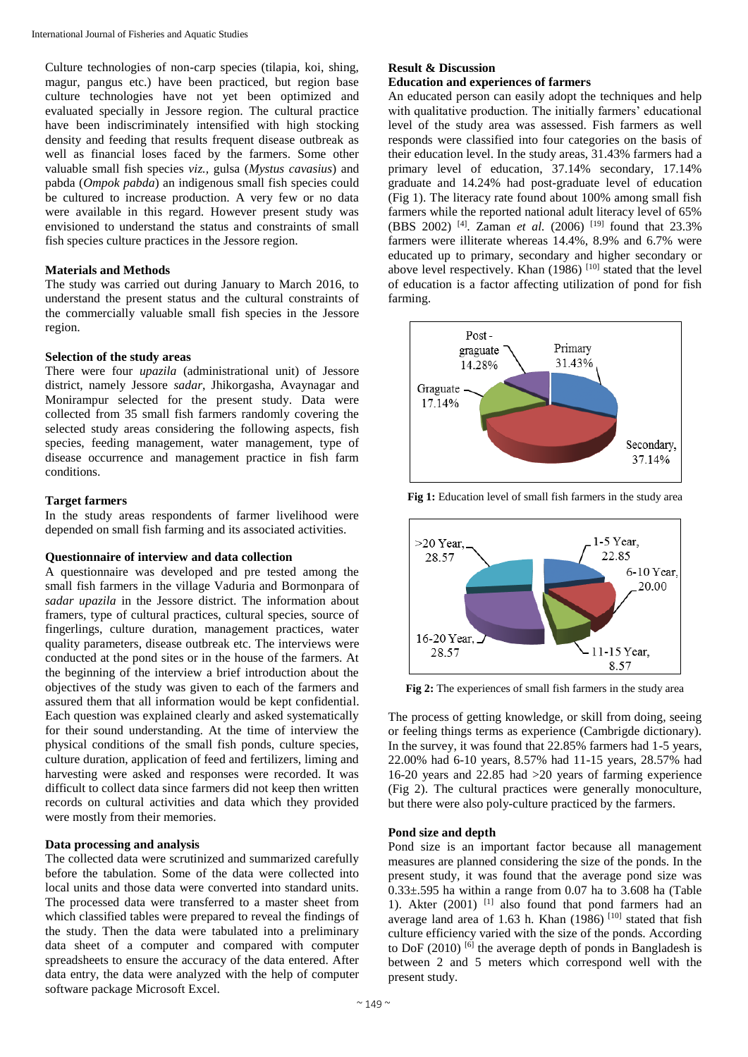Culture technologies of non-carp species (tilapia, koi, shing, magur, pangus etc.) have been practiced, but region base culture technologies have not yet been optimized and evaluated specially in Jessore region. The cultural practice have been indiscriminately intensified with high stocking density and feeding that results frequent disease outbreak as well as financial loses faced by the farmers. Some other valuable small fish species *viz.,* gulsa (*Mystus cavasius*) and pabda (*Ompok pabda*) an indigenous small fish species could be cultured to increase production. A very few or no data were available in this regard. However present study was envisioned to understand the status and constraints of small fish species culture practices in the Jessore region.

#### **Materials and Methods**

The study was carried out during January to March 2016, to understand the present status and the cultural constraints of the commercially valuable small fish species in the Jessore region.

# **Selection of the study areas**

There were four *upazila* (administrational unit) of Jessore district, namely Jessore *sadar*, Jhikorgasha, Avaynagar and Monirampur selected for the present study. Data were collected from 35 small fish farmers randomly covering the selected study areas considering the following aspects, fish species, feeding management, water management, type of disease occurrence and management practice in fish farm conditions.

### **Target farmers**

In the study areas respondents of farmer livelihood were depended on small fish farming and its associated activities.

#### **Questionnaire of interview and data collection**

A questionnaire was developed and pre tested among the small fish farmers in the village Vaduria and Bormonpara of *sadar upazila* in the Jessore district. The information about framers, type of cultural practices, cultural species, source of fingerlings, culture duration, management practices, water quality parameters, disease outbreak etc. The interviews were conducted at the pond sites or in the house of the farmers. At the beginning of the interview a brief introduction about the objectives of the study was given to each of the farmers and assured them that all information would be kept confidential. Each question was explained clearly and asked systematically for their sound understanding. At the time of interview the physical conditions of the small fish ponds, culture species, culture duration, application of feed and fertilizers, liming and harvesting were asked and responses were recorded. It was difficult to collect data since farmers did not keep then written records on cultural activities and data which they provided were mostly from their memories.

#### **Data processing and analysis**

The collected data were scrutinized and summarized carefully before the tabulation. Some of the data were collected into local units and those data were converted into standard units. The processed data were transferred to a master sheet from which classified tables were prepared to reveal the findings of the study. Then the data were tabulated into a preliminary data sheet of a computer and compared with computer spreadsheets to ensure the accuracy of the data entered. After data entry, the data were analyzed with the help of computer software package Microsoft Excel.

# **Result & Discussion**

# **Education and experiences of farmers**

An educated person can easily adopt the techniques and help with qualitative production. The initially farmers' educational level of the study area was assessed. Fish farmers as well responds were classified into four categories on the basis of their education level. In the study areas, 31.43% farmers had a primary level of education, 37.14% secondary, 17.14% graduate and 14.24% had post-graduate level of education (Fig 1). The literacy rate found about 100% among small fish farmers while the reported national adult literacy level of 65% (BBS 2002) [4]. Zaman *et al.* (2006) [19] found that 23.3% farmers were illiterate whereas 14.4%, 8.9% and 6.7% were educated up to primary, secondary and higher secondary or above level respectively. Khan  $(1986)$   $^{[10]}$  stated that the level of education is a factor affecting utilization of pond for fish farming.



**Fig 1:** Education level of small fish farmers in the study area



**Fig 2:** The experiences of small fish farmers in the study area

The process of getting knowledge, or skill from doing, seeing or feeling things terms as experience (Cambrigde dictionary). In the survey, it was found that 22.85% farmers had 1-5 years, 22.00% had 6-10 years, 8.57% had 11-15 years, 28.57% had 16-20 years and 22.85 had >20 years of farming experience (Fig 2). The cultural practices were generally monoculture, but there were also poly-culture practiced by the farmers.

### **Pond size and depth**

Pond size is an important factor because all management measures are planned considering the size of the ponds. In the present study, it was found that the average pond size was  $0.33\pm.595$  ha within a range from 0.07 ha to 3.608 ha (Table 1). Akter (2001) [1] also found that pond farmers had an average land area of 1.63 h. Khan  $(1986)$   $^{[10]}$  stated that fish culture efficiency varied with the size of the ponds. According to DoF  $(2010)$  [6] the average depth of ponds in Bangladesh is between 2 and 5 meters which correspond well with the present study.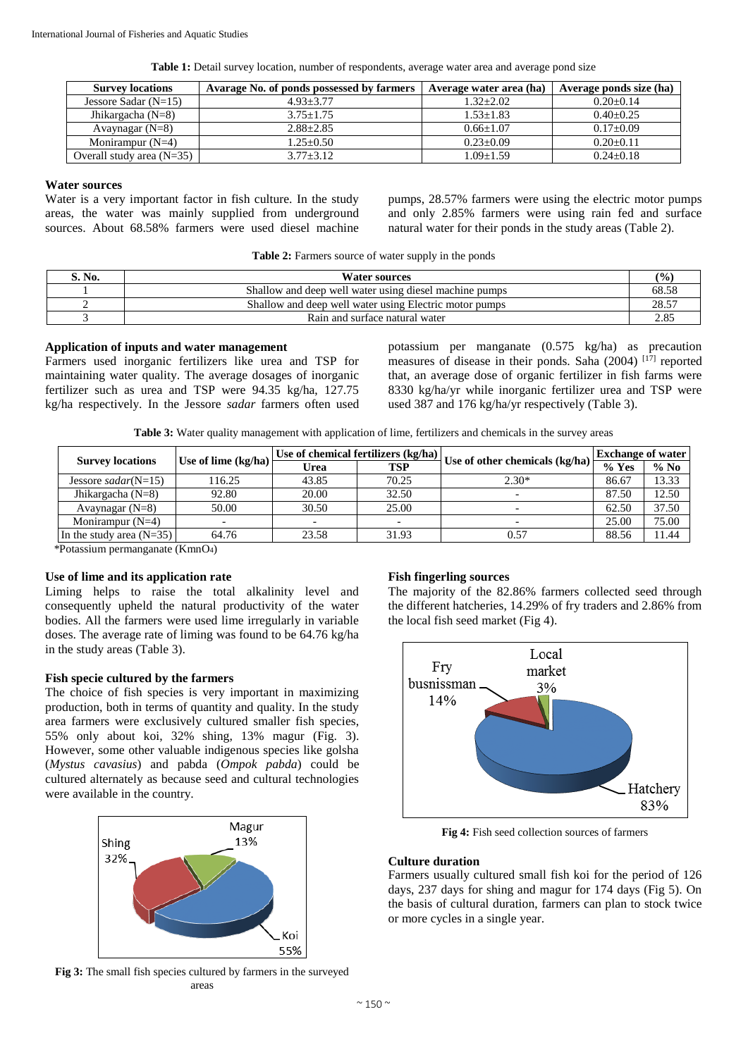|  |  |  |  |  | Table 1: Detail survey location, number of respondents, average water area and average pond size |  |
|--|--|--|--|--|--------------------------------------------------------------------------------------------------|--|
|  |  |  |  |  |                                                                                                  |  |

| <b>Survey locations</b>     | Avarage No. of ponds possessed by farmers | Average water area (ha) | Average ponds size (ha) |
|-----------------------------|-------------------------------------------|-------------------------|-------------------------|
| Jessore Sadar $(N=15)$      | $4.93 + 3.77$                             | $1.32 + 2.02$           | $0.20+0.14$             |
| Jhikargacha ( $N=8$ )       | $3.75 + 1.75$                             | $1.53 + 1.83$           | $0.40 + 0.25$           |
| Avaynagar $(N=8)$           | $2.88 \pm 2.85$                           | $0.66 + 1.07$           | $0.17+0.09$             |
| Monirampur $(N=4)$          | $1.25 + 0.50$                             | $0.23 \pm 0.09$         | $0.20 + 0.11$           |
| Overall study area $(N=35)$ | $3.77 + 3.12$                             | $0.09 \pm 1.59$         | $0.24 \pm 0.18$         |

# **Water sources**

Water is a very important factor in fish culture. In the study areas, the water was mainly supplied from underground sources. About 68.58% farmers were used diesel machine pumps, 28.57% farmers were using the electric motor pumps and only 2.85% farmers were using rain fed and surface natural water for their ponds in the study areas (Table 2).

| Table 2: Farmers source of water supply in the ponds |
|------------------------------------------------------|
|------------------------------------------------------|

| S. No. | <b>Water sources</b>                                   | (%    |
|--------|--------------------------------------------------------|-------|
|        | Shallow and deep well water using diesel machine pumps | 68.58 |
|        | Shallow and deep well water using Electric motor pumps | 28.57 |
|        | Rain and surface natural water                         | 2.85  |

#### **Application of inputs and water management**

Farmers used inorganic fertilizers like urea and TSP for maintaining water quality. The average dosages of inorganic fertilizer such as urea and TSP were 94.35 kg/ha, 127.75 kg/ha respectively. In the Jessore *sadar* farmers often used potassium per manganate (0.575 kg/ha) as precaution measures of disease in their ponds. Saha (2004) [17] reported that, an average dose of organic fertilizer in fish farms were 8330 kg/ha/yr while inorganic fertilizer urea and TSP were used 387 and 176 kg/ha/yr respectively (Table 3).

**Table 3:** Water quality management with application of lime, fertilizers and chemicals in the survey areas

|                                     | Use of chemical fertilizers (kg/ha) |                       |                          | <b>Exchange of water</b>       |        |
|-------------------------------------|-------------------------------------|-----------------------|--------------------------|--------------------------------|--------|
|                                     | Urea                                | TSP                   |                          | $%$ Yes                        | $%$ No |
| 116.25                              | 43.85                               | 70.25                 | $2.30*$                  | 86.67                          | 13.33  |
| 92.80                               | 20.00                               | 32.50                 |                          | 87.50                          | 12.50  |
| 50.00                               | 30.50                               | 25.00                 | $\overline{\phantom{0}}$ | 62.50                          | 37.50  |
|                                     | $\overline{\phantom{0}}$            |                       |                          | 25.00                          | 75.00  |
| In the study area $(N=35)$<br>64.76 | 23.58                               | 31.93                 | 0.57                     | 88.56                          | 11.44  |
|                                     |                                     | Use of lime $(kg/ha)$ |                          | Use of other chemicals (kg/ha) |        |

\*Potassium permanganate (KmnO4)

#### **Use of lime and its application rate**

Liming helps to raise the total alkalinity level and consequently upheld the natural productivity of the water bodies. All the farmers were used lime irregularly in variable doses. The average rate of liming was found to be 64.76 kg/ha in the study areas (Table 3).

# **Fish specie cultured by the farmers**

The choice of fish species is very important in maximizing production, both in terms of quantity and quality. In the study area farmers were exclusively cultured smaller fish species, 55% only about koi, 32% shing, 13% magur (Fig. 3). However, some other valuable indigenous species like golsha (*Mystus cavasius*) and pabda (*Ompok pabda*) could be cultured alternately as because seed and cultural technologies were available in the country.



**Fig 3:** The small fish species cultured by farmers in the surveyed areas

#### **Fish fingerling sources**

The majority of the 82.86% farmers collected seed through the different hatcheries, 14.29% of fry traders and 2.86% from the local fish seed market (Fig 4).



**Fig 4:** Fish seed collection sources of farmers

## **Culture duration**

Farmers usually cultured small fish koi for the period of 126 days, 237 days for shing and magur for 174 days (Fig 5). On the basis of cultural duration, farmers can plan to stock twice or more cycles in a single year.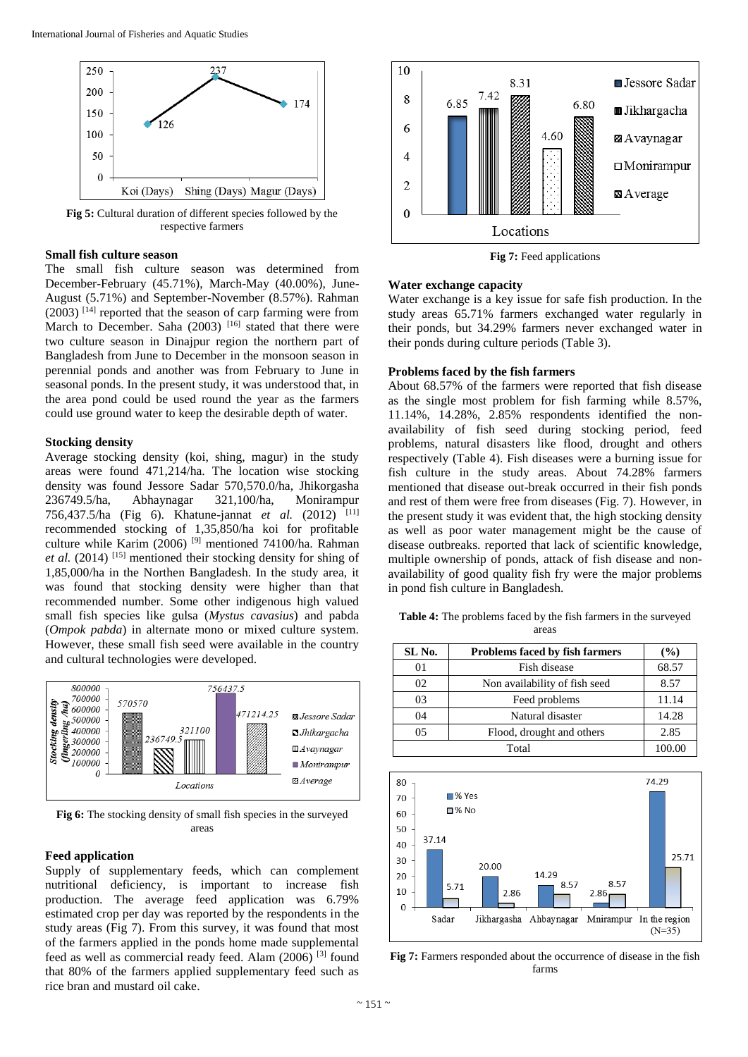

**Fig 5:** Cultural duration of different species followed by the respective farmers

### **Small fish culture season**

The small fish culture season was determined from December-February (45.71%), March-May (40.00%), June-August (5.71%) and September-November (8.57%). Rahman  $(2003)$ <sup>[14]</sup> reported that the season of carp farming were from March to December. Saha (2003)  $[16]$  stated that there were two culture season in Dinajpur region the northern part of Bangladesh from June to December in the monsoon season in perennial ponds and another was from February to June in seasonal ponds. In the present study, it was understood that, in the area pond could be used round the year as the farmers could use ground water to keep the desirable depth of water.

#### **Stocking density**

Average stocking density (koi, shing, magur) in the study areas were found 471,214/ha. The location wise stocking density was found Jessore Sadar 570,570.0/ha, Jhikorgasha 236749.5/ha, Abhaynagar 321,100/ha, Monirampur 756,437.5/ha (Fig 6). Khatune-jannat *et al.* (2012) [11] recommended stocking of 1,35,850/ha koi for profitable culture while Karim (2006) [9] mentioned 74100/ha. Rahman *et al.* (2014) [15] mentioned their stocking density for shing of 1,85,000/ha in the Northen Bangladesh. In the study area, it was found that stocking density were higher than that recommended number. Some other indigenous high valued small fish species like gulsa (*Mystus cavasius*) and pabda (*Ompok pabda*) in alternate mono or mixed culture system. However, these small fish seed were available in the country and cultural technologies were developed.



**Fig 6:** The stocking density of small fish species in the surveyed areas

#### **Feed application**

Supply of supplementary feeds, which can complement nutritional deficiency, is important to increase fish production. The average feed application was 6.79% estimated crop per day was reported by the respondents in the study areas (Fig 7). From this survey, it was found that most of the farmers applied in the ponds home made supplemental feed as well as commercial ready feed. Alam (2006) [3] found that 80% of the farmers applied supplementary feed such as rice bran and mustard oil cake.



**Fig 7:** Feed applications

#### **Water exchange capacity**

Water exchange is a key issue for safe fish production. In the study areas 65.71% farmers exchanged water regularly in their ponds, but 34.29% farmers never exchanged water in their ponds during culture periods (Table 3).

#### **Problems faced by the fish farmers**

About 68.57% of the farmers were reported that fish disease as the single most problem for fish farming while 8.57%, 11.14%, 14.28%, 2.85% respondents identified the nonavailability of fish seed during stocking period, feed problems, natural disasters like flood, drought and others respectively (Table 4). Fish diseases were a burning issue for fish culture in the study areas. About 74.28% farmers mentioned that disease out-break occurred in their fish ponds and rest of them were free from diseases (Fig. 7). However, in the present study it was evident that, the high stocking density as well as poor water management might be the cause of disease outbreaks. reported that lack of scientific knowledge, multiple ownership of ponds, attack of fish disease and nonavailability of good quality fish fry were the major problems in pond fish culture in Bangladesh.

**Table 4:** The problems faced by the fish farmers in the surveyed areas

| SL No. | <b>Problems faced by fish farmers</b> | $($ %) |
|--------|---------------------------------------|--------|
| 01     | Fish disease                          | 68.57  |
| 02     | Non availability of fish seed         | 8.57   |
| 03     | Feed problems                         | 11.14  |
| 04     | Natural disaster                      | 14.28  |
| 05     | Flood, drought and others             | 2.85   |
|        | Total                                 | 100.00 |



**Fig 7:** Farmers responded about the occurrence of disease in the fish farms